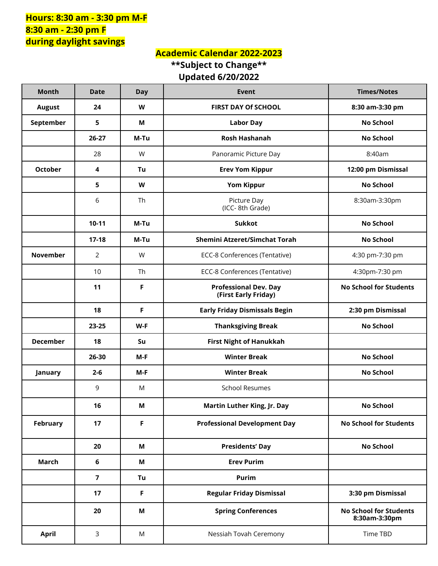## **Hours: 8:30 am - 3:30 pm M-F 8:30 am - 2:30 pm F during daylight savings**

## **Academic Calendar 2022-2023 \*\*Subject to Change\*\* Updated 6/20/2022**

| <b>Month</b>    | <b>Date</b>    | <b>Day</b> | <b>Event</b>                                         | <b>Times/Notes</b>                             |
|-----------------|----------------|------------|------------------------------------------------------|------------------------------------------------|
| <b>August</b>   | 24             | W          | FIRST DAY Of SCHOOL                                  | 8:30 am-3:30 pm                                |
| September       | 5              | М          | <b>Labor Day</b>                                     | <b>No School</b>                               |
|                 | $26-27$        | M-Tu       | <b>Rosh Hashanah</b>                                 | <b>No School</b>                               |
|                 | 28             | W          | Panoramic Picture Day                                | 8:40am                                         |
| <b>October</b>  | 4              | Tu         | <b>Erev Yom Kippur</b>                               | 12:00 pm Dismissal                             |
|                 | 5              | W          | <b>Yom Kippur</b>                                    | <b>No School</b>                               |
|                 | 6              | Th         | Picture Day<br>(ICC-8th Grade)                       | 8:30am-3:30pm                                  |
|                 | $10-11$        | M-Tu       | <b>Sukkot</b>                                        | <b>No School</b>                               |
|                 | $17-18$        | M-Tu       | Shemini Atzeret/Simchat Torah                        | <b>No School</b>                               |
| <b>November</b> | $\overline{2}$ | W          | ECC-8 Conferences (Tentative)                        | 4:30 pm-7:30 pm                                |
|                 | 10             | <b>Th</b>  | ECC-8 Conferences (Tentative)                        | 4:30pm-7:30 pm                                 |
|                 | 11             | F          | <b>Professional Dev. Day</b><br>(First Early Friday) | <b>No School for Students</b>                  |
|                 | 18             | F          | <b>Early Friday Dismissals Begin</b>                 | 2:30 pm Dismissal                              |
|                 | 23-25          | W-F        | <b>Thanksgiving Break</b>                            | <b>No School</b>                               |
| <b>December</b> | 18             | Su         | <b>First Night of Hanukkah</b>                       |                                                |
|                 | 26-30          | $M-F$      | <b>Winter Break</b>                                  | <b>No School</b>                               |
| January         | $2 - 6$        | $M-F$      | <b>Winter Break</b>                                  | <b>No School</b>                               |
|                 | 9              | M          | <b>School Resumes</b>                                |                                                |
|                 | 16             | M          | Martin Luther King, Jr. Day                          | <b>No School</b>                               |
| February        | 17             | F          | <b>Professional Development Day</b>                  | <b>No School for Students</b>                  |
|                 | 20             | М          | <b>Presidents' Day</b>                               | <b>No School</b>                               |
| <b>March</b>    | 6              | M          | <b>Erev Purim</b>                                    |                                                |
|                 | $\overline{7}$ | Tu         | Purim                                                |                                                |
|                 | 17             | F          | <b>Regular Friday Dismissal</b>                      | 3:30 pm Dismissal                              |
|                 | 20             | M          | <b>Spring Conferences</b>                            | <b>No School for Students</b><br>8:30am-3:30pm |
| <b>April</b>    | 3              | M          | Nessiah Tovah Ceremony                               | Time TBD                                       |